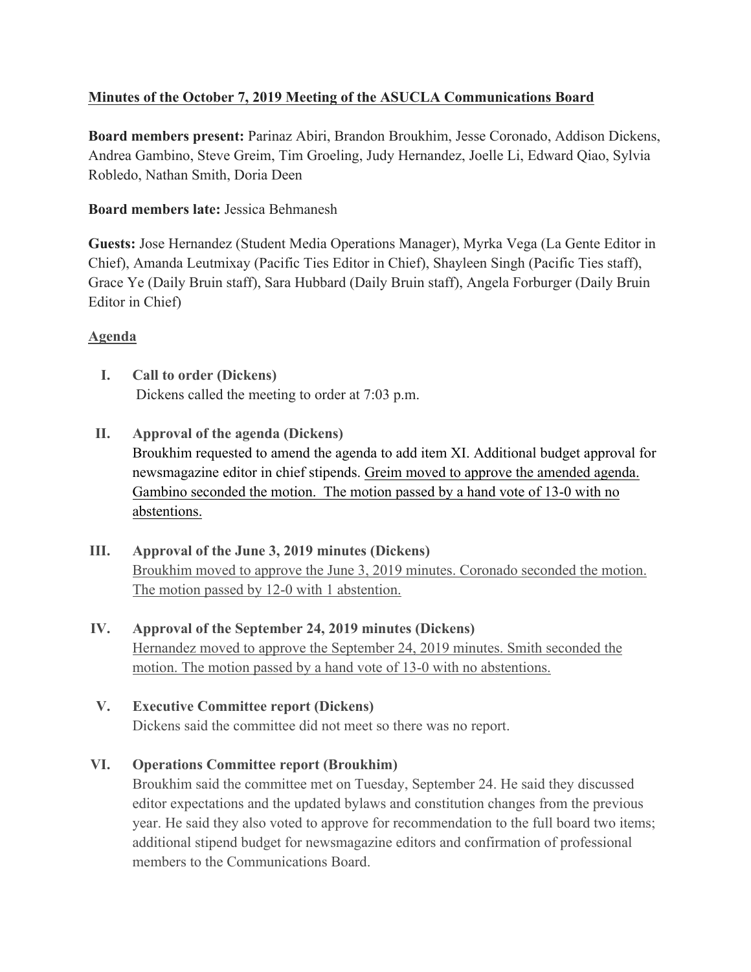# **Minutes of the October 7, 2019 Meeting of the ASUCLA Communications Board**

**Board members present:** Parinaz Abiri, Brandon Broukhim, Jesse Coronado, Addison Dickens, Andrea Gambino, Steve Greim, Tim Groeling, Judy Hernandez, Joelle Li, Edward Qiao, Sylvia Robledo, Nathan Smith, Doria Deen

## **Board members late:** Jessica Behmanesh

**Guests:** Jose Hernandez (Student Media Operations Manager), Myrka Vega (La Gente Editor in Chief), Amanda Leutmixay (Pacific Ties Editor in Chief), Shayleen Singh (Pacific Ties staff), Grace Ye (Daily Bruin staff), Sara Hubbard (Daily Bruin staff), Angela Forburger (Daily Bruin Editor in Chief)

## **Agenda**

- **I. Call to order (Dickens)** Dickens called the meeting to order at 7:03 p.m.
- **II. Approval of the agenda (Dickens)** Broukhim requested to amend the agenda to add item XI. Additional budget approval for newsmagazine editor in chief stipends. Greim moved to approve the amended agenda. Gambino seconded the motion. The motion passed by a hand vote of 13-0 with no abstentions.
- **III. Approval of the June 3, 2019 minutes (Dickens)** Broukhim moved to approve the June 3, 2019 minutes. Coronado seconded the motion. The motion passed by 12-0 with 1 abstention.
- **IV. Approval of the September 24, 2019 minutes (Dickens)** Hernandez moved to approve the September 24, 2019 minutes. Smith seconded the motion. The motion passed by a hand vote of 13-0 with no abstentions.
- **V. Executive Committee report (Dickens)**

Dickens said the committee did not meet so there was no report.

# **VI. Operations Committee report (Broukhim)**

Broukhim said the committee met on Tuesday, September 24. He said they discussed editor expectations and the updated bylaws and constitution changes from the previous year. He said they also voted to approve for recommendation to the full board two items; additional stipend budget for newsmagazine editors and confirmation of professional members to the Communications Board.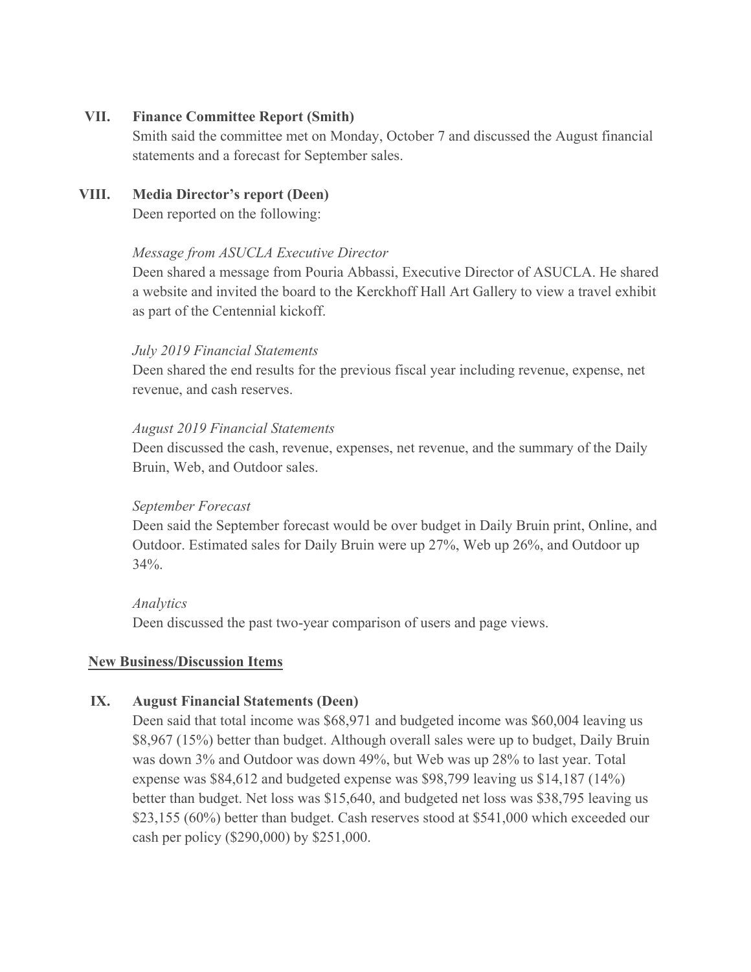### **VII. Finance Committee Report (Smith)**

Smith said the committee met on Monday, October 7 and discussed the August financial statements and a forecast for September sales.

## **VIII. Media Director's report (Deen)**

Deen reported on the following:

### *Message from ASUCLA Executive Director*

Deen shared a message from Pouria Abbassi, Executive Director of ASUCLA. He shared a website and invited the board to the Kerckhoff Hall Art Gallery to view a travel exhibit as part of the Centennial kickoff.

### *July 2019 Financial Statements*

Deen shared the end results for the previous fiscal year including revenue, expense, net revenue, and cash reserves.

### *August 2019 Financial Statements*

Deen discussed the cash, revenue, expenses, net revenue, and the summary of the Daily Bruin, Web, and Outdoor sales.

#### *September Forecast*

Deen said the September forecast would be over budget in Daily Bruin print, Online, and Outdoor. Estimated sales for Daily Bruin were up 27%, Web up 26%, and Outdoor up  $34\%$ .

#### *Analytics*

Deen discussed the past two-year comparison of users and page views.

### **New Business/Discussion Items**

### **IX. August Financial Statements (Deen)**

Deen said that total income was \$68,971 and budgeted income was \$60,004 leaving us \$8,967 (15%) better than budget. Although overall sales were up to budget, Daily Bruin was down 3% and Outdoor was down 49%, but Web was up 28% to last year. Total expense was \$84,612 and budgeted expense was \$98,799 leaving us \$14,187 (14%) better than budget. Net loss was \$15,640, and budgeted net loss was \$38,795 leaving us \$23,155 (60%) better than budget. Cash reserves stood at \$541,000 which exceeded our cash per policy (\$290,000) by \$251,000.